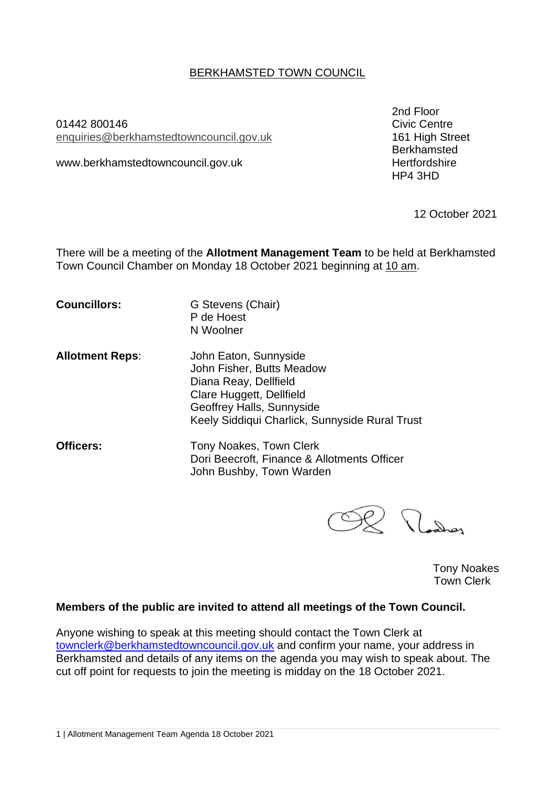## BERKHAMSTED TOWN COUNCIL

01442 800146 **Civic Centre** enquiries[@berkhamstedtowncouncil.gov.uk](mailto:berkhamsted.towncouncil@dacorum.gov.uk) 161 High Street

www.berkhamstedtowncouncil.gov.uk

2nd Floor Berkhamsted<br>Hertfordshire HP4 3HD

12 October 2021

There will be a meeting of the **Allotment Management Team** to be held at Berkhamsted Town Council Chamber on Monday 18 October 2021 beginning at 10 am.

**Councillors:** G Stevens (Chair)

- P de Hoest N Woolner
- **Allotment Reps**: John Eaton, Sunnyside John Fisher, Butts Meadow Diana Reay, Dellfield Clare Huggett, Dellfield Geoffrey Halls, Sunnyside Keely Siddiqui Charlick, Sunnyside Rural Trust
- **Officers:** Tony Noakes, Town Clerk Dori Beecroft, Finance & Allotments Officer John Bushby, Town Warden

Plaches

Tony Noakes Town Clerk

#### **Members of the public are invited to attend all meetings of the Town Council.**

Anyone wishing to speak at this meeting should contact the Town Clerk at [townclerk@berkhamstedtowncouncil.gov.uk](mailto:townclerk@berkhamstedtowncouncil.gov.uk) and confirm your name, your address in Berkhamsted and details of any items on the agenda you may wish to speak about. The cut off point for requests to join the meeting is midday on the 18 October 2021.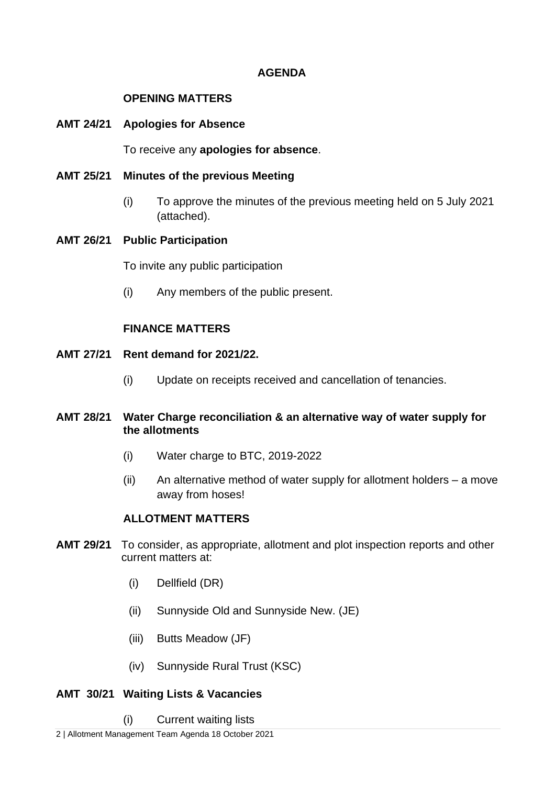## **AGENDA**

## **OPENING MATTERS**

#### **AMT 24/21 Apologies for Absence**

To receive any **apologies for absence**.

- **AMT 25/21 Minutes of the previous Meeting** 
	- (i) To approve the minutes of the previous meeting held on 5 July 2021 (attached).

## **AMT 26/21 Public Participation**

To invite any public participation

(i) Any members of the public present.

## **FINANCE MATTERS**

## **AMT 27/21 Rent demand for 2021/22.**

(i) Update on receipts received and cancellation of tenancies.

## **AMT 28/21 Water Charge reconciliation & an alternative way of water supply for the allotments**

- (i) Water charge to BTC, 2019-2022
- (ii) An alternative method of water supply for allotment holders a move away from hoses!

## **ALLOTMENT MATTERS**

- **AMT 29/21** To consider, as appropriate, allotment and plot inspection reports and other current matters at:
	- (i) Dellfield (DR)
	- (ii) Sunnyside Old and Sunnyside New. (JE)
	- (iii) Butts Meadow (JF)
	- (iv) Sunnyside Rural Trust (KSC)

## **AMT 30/21 Waiting Lists & Vacancies**

(i) Current waiting lists